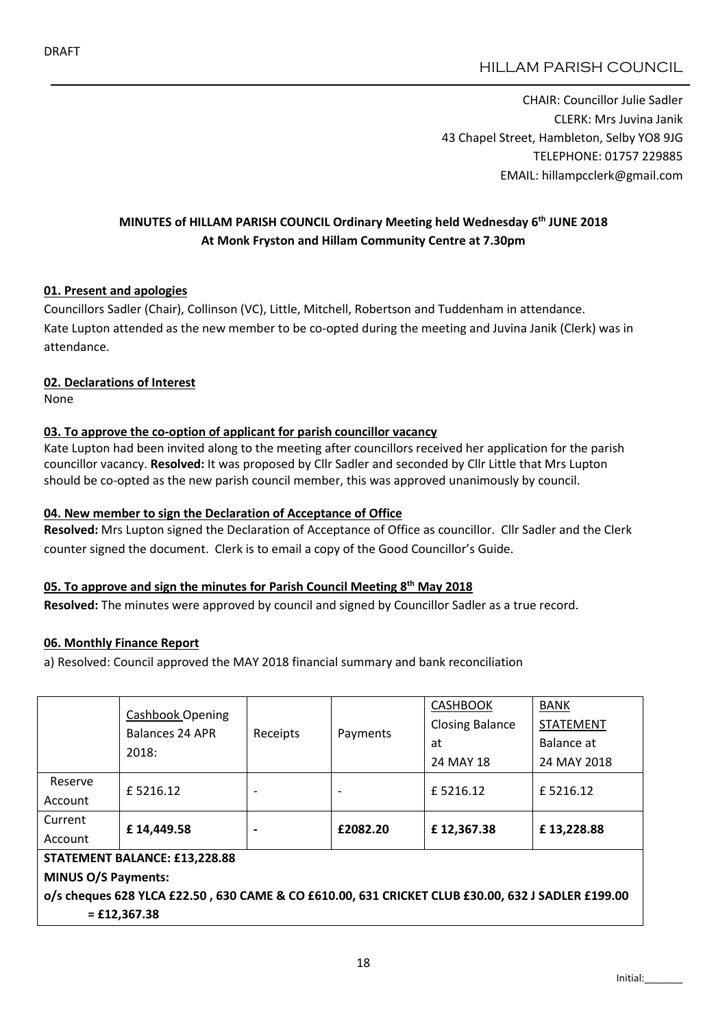CHAIR: Councillor Julie Sadler CLERK: Mrs Juvina Janik 43 Chapel Street, Hambleton, Selby YO8 9JG TELEPHONE: 01757 229885 EMAIL: hillampcclerk@gmail.com

# MINUTES of HILLAM PARISH COUNCIL Ordinary Meeting held Wednesday 6th JUNE 2018 At Monk Fryston and Hillam Community Centre at 7.30pm

## 01. Present and apologies

Councillors Sadler (Chair), Collinson (VC), Little, Mitchell, Robertson and Tuddenham in attendance. Kate Lupton attended as the new member to be co-opted during the meeting and Juvina Janik (Clerk) was in attendance.

## 02. Declarations of Interest

None

# 03. To approve the co-option of applicant for parish councillor vacancy

Kate Lupton had been invited along to the meeting after councillors received her application for the parish councillor vacancy. Resolved: It was proposed by Cllr Sadler and seconded by Cllr Little that Mrs Lupton should be co-opted as the new parish council member, this was approved unanimously by council.

## 04. New member to sign the Declaration of Acceptance of Office

Resolved: Mrs Lupton signed the Declaration of Acceptance of Office as councillor. Cllr Sadler and the Clerk counter signed the document. Clerk is to email a copy of the Good Councillor's Guide.

## 05. To approve and sign the minutes for Parish Council Meeting 8<sup>th</sup> May 2018

Resolved: The minutes were approved by council and signed by Councillor Sadler as a true record.

## 06. Monthly Finance Report

a) Resolved: Council approved the MAY 2018 financial summary and bank reconciliation

|                                                                                                                     | <b>Cashbook Opening</b><br>Balances 24 APR<br>2018: | Receipts | Payments | <b>CASHBOOK</b><br><b>Closing Balance</b><br>at<br>24 MAY 18 | <b>BANK</b><br><b>STATEMENT</b><br>Balance at<br>24 MAY 2018 |  |  |  |  |
|---------------------------------------------------------------------------------------------------------------------|-----------------------------------------------------|----------|----------|--------------------------------------------------------------|--------------------------------------------------------------|--|--|--|--|
| Reserve<br>Account                                                                                                  | £5216.12                                            |          |          | £5216.12                                                     | £5216.12                                                     |  |  |  |  |
|                                                                                                                     |                                                     |          |          |                                                              |                                                              |  |  |  |  |
| Current                                                                                                             | £14,449.58                                          |          | £2082.20 | £12,367.38                                                   | £13,228.88                                                   |  |  |  |  |
| Account                                                                                                             |                                                     |          |          |                                                              |                                                              |  |  |  |  |
| STATEMENT BALANCE: £13,228.88                                                                                       |                                                     |          |          |                                                              |                                                              |  |  |  |  |
| <b>MINUS O/S Payments:</b>                                                                                          |                                                     |          |          |                                                              |                                                              |  |  |  |  |
| o/s cheques 628 YLCA £22.50, 630 CAME & CO £610.00, 631 CRICKET CLUB £30.00, 632 J SADLER £199.00<br>$=$ £12,367.38 |                                                     |          |          |                                                              |                                                              |  |  |  |  |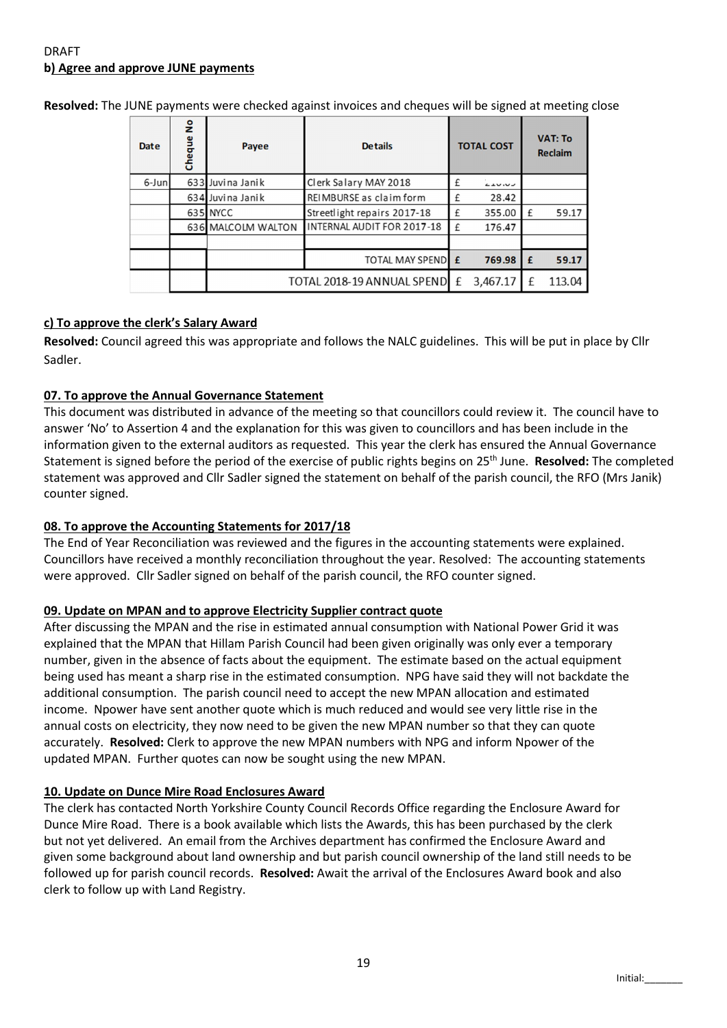# DRAFT b) Agree and approve JUNE payments

| Date  | å<br>Cheque | Payee                      | <b>Details</b>              | <b>TOTAL COST</b> |               | <b>VAT: To</b><br><b>Reclaim</b> |        |
|-------|-------------|----------------------------|-----------------------------|-------------------|---------------|----------------------------------|--------|
| 6-Jun |             | 633 Juvina Janik           | Clerk Salary MAY 2018       |                   | <b>LIV.VJ</b> |                                  |        |
|       |             | 634 Juvina Janik           | REIMBURSE as claim form     | f                 | 28.42         |                                  |        |
|       |             | 635 NYCC                   | Streetlight repairs 2017-18 |                   | 355.00        | £                                | 59.17  |
|       |             | 636 MALCOLM WALTON         | INTERNAL AUDIT FOR 2017-18  | f                 | 176.47        |                                  |        |
|       |             |                            |                             |                   |               |                                  |        |
|       |             |                            | <b>TOTAL MAY SPEND E</b>    |                   | 769.98        | £                                | 59.17  |
|       |             | TOTAL 2018-19 ANNUAL SPEND |                             |                   | 3,467.17      | f                                | 113.04 |

Resolved: The JUNE payments were checked against invoices and cheques will be signed at meeting close

## c) To approve the clerk's Salary Award

Resolved: Council agreed this was appropriate and follows the NALC guidelines. This will be put in place by Cllr Sadler.

### 07. To approve the Annual Governance Statement

This document was distributed in advance of the meeting so that councillors could review it. The council have to answer 'No' to Assertion 4 and the explanation for this was given to councillors and has been include in the information given to the external auditors as requested. This year the clerk has ensured the Annual Governance Statement is signed before the period of the exercise of public rights begins on 25<sup>th</sup> June. **Resolved:** The completed statement was approved and Cllr Sadler signed the statement on behalf of the parish council, the RFO (Mrs Janik) counter signed.

#### 08. To approve the Accounting Statements for 2017/18

The End of Year Reconciliation was reviewed and the figures in the accounting statements were explained. Councillors have received a monthly reconciliation throughout the year. Resolved: The accounting statements were approved. Cllr Sadler signed on behalf of the parish council, the RFO counter signed.

#### 09. Update on MPAN and to approve Electricity Supplier contract quote

After discussing the MPAN and the rise in estimated annual consumption with National Power Grid it was explained that the MPAN that Hillam Parish Council had been given originally was only ever a temporary number, given in the absence of facts about the equipment. The estimate based on the actual equipment being used has meant a sharp rise in the estimated consumption. NPG have said they will not backdate the additional consumption. The parish council need to accept the new MPAN allocation and estimated income. Npower have sent another quote which is much reduced and would see very little rise in the annual costs on electricity, they now need to be given the new MPAN number so that they can quote accurately. Resolved: Clerk to approve the new MPAN numbers with NPG and inform Npower of the updated MPAN. Further quotes can now be sought using the new MPAN.

#### 10. Update on Dunce Mire Road Enclosures Award

The clerk has contacted North Yorkshire County Council Records Office regarding the Enclosure Award for Dunce Mire Road. There is a book available which lists the Awards, this has been purchased by the clerk but not yet delivered. An email from the Archives department has confirmed the Enclosure Award and given some background about land ownership and but parish council ownership of the land still needs to be followed up for parish council records. Resolved: Await the arrival of the Enclosures Award book and also clerk to follow up with Land Registry.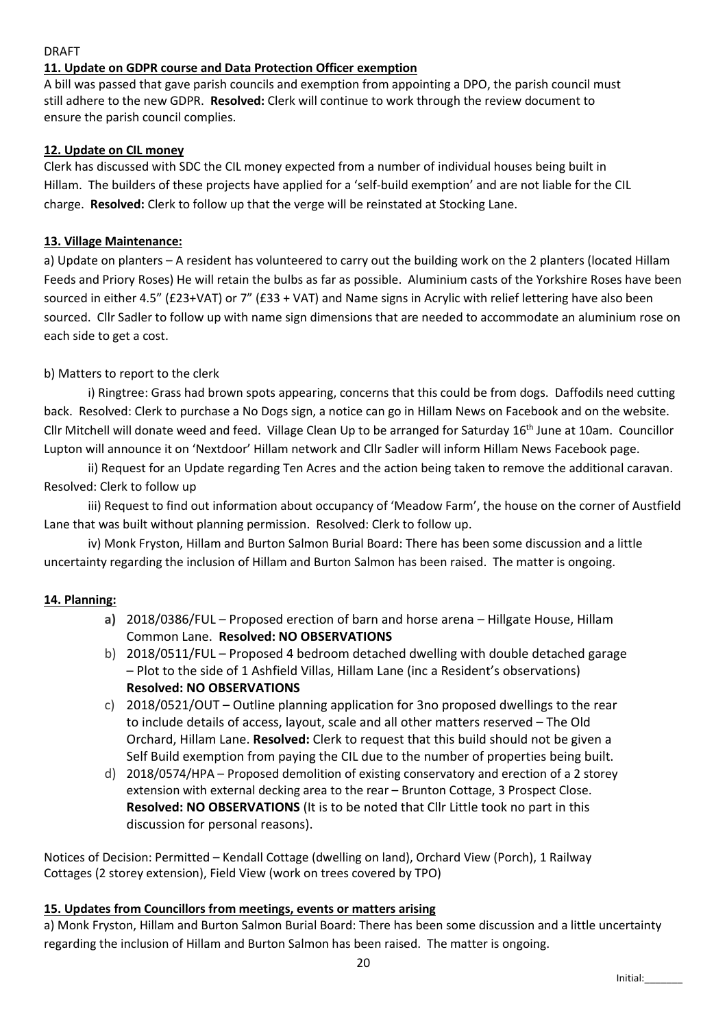## DRAFT

## 11. Update on GDPR course and Data Protection Officer exemption

A bill was passed that gave parish councils and exemption from appointing a DPO, the parish council must still adhere to the new GDPR. Resolved: Clerk will continue to work through the review document to ensure the parish council complies.

### 12. Update on CIL money

Clerk has discussed with SDC the CIL money expected from a number of individual houses being built in Hillam. The builders of these projects have applied for a 'self-build exemption' and are not liable for the CIL charge. Resolved: Clerk to follow up that the verge will be reinstated at Stocking Lane.

### 13. Village Maintenance:

a) Update on planters – A resident has volunteered to carry out the building work on the 2 planters (located Hillam Feeds and Priory Roses) He will retain the bulbs as far as possible. Aluminium casts of the Yorkshire Roses have been sourced in either 4.5" (£23+VAT) or 7" (£33 + VAT) and Name signs in Acrylic with relief lettering have also been sourced. Cllr Sadler to follow up with name sign dimensions that are needed to accommodate an aluminium rose on each side to get a cost.

## b) Matters to report to the clerk

i) Ringtree: Grass had brown spots appearing, concerns that this could be from dogs. Daffodils need cutting back. Resolved: Clerk to purchase a No Dogs sign, a notice can go in Hillam News on Facebook and on the website. Cllr Mitchell will donate weed and feed. Village Clean Up to be arranged for Saturday 16<sup>th</sup> June at 10am. Councillor Lupton will announce it on 'Nextdoor' Hillam network and Cllr Sadler will inform Hillam News Facebook page.

ii) Request for an Update regarding Ten Acres and the action being taken to remove the additional caravan. Resolved: Clerk to follow up

iii) Request to find out information about occupancy of 'Meadow Farm', the house on the corner of Austfield Lane that was built without planning permission. Resolved: Clerk to follow up.

iv) Monk Fryston, Hillam and Burton Salmon Burial Board: There has been some discussion and a little uncertainty regarding the inclusion of Hillam and Burton Salmon has been raised. The matter is ongoing.

## 14. Planning:

- a) 2018/0386/FUL Proposed erection of barn and horse arena Hillgate House, Hillam Common Lane. Resolved: NO OBSERVATIONS
- b) 2018/0511/FUL Proposed 4 bedroom detached dwelling with double detached garage – Plot to the side of 1 Ashfield Villas, Hillam Lane (inc a Resident's observations) Resolved: NO OBSERVATIONS
- c) 2018/0521/OUT Outline planning application for 3no proposed dwellings to the rear to include details of access, layout, scale and all other matters reserved – The Old Orchard, Hillam Lane. Resolved: Clerk to request that this build should not be given a Self Build exemption from paying the CIL due to the number of properties being built.
- d) 2018/0574/HPA Proposed demolition of existing conservatory and erection of a 2 storey extension with external decking area to the rear – Brunton Cottage, 3 Prospect Close. Resolved: NO OBSERVATIONS (It is to be noted that Cllr Little took no part in this discussion for personal reasons).

Notices of Decision: Permitted – Kendall Cottage (dwelling on land), Orchard View (Porch), 1 Railway Cottages (2 storey extension), Field View (work on trees covered by TPO)

#### 15. Updates from Councillors from meetings, events or matters arising

a) Monk Fryston, Hillam and Burton Salmon Burial Board: There has been some discussion and a little uncertainty regarding the inclusion of Hillam and Burton Salmon has been raised. The matter is ongoing.